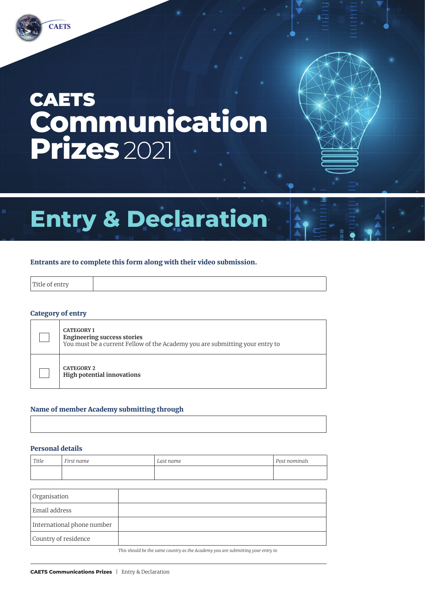## **CAETS Communication Prizes** 2021

# **Entry & Declaration**

#### Entrants are to complete this form along with their video submission.

| $-$           |  |  |
|---------------|--|--|
|               |  |  |
| $\frac{1}{2}$ |  |  |
|               |  |  |

#### Category of entry

| <b>CATEGORY 1</b><br><b>Engineering success stories</b><br>You must be a current Fellow of the Academy you are submitting your entry to |
|-----------------------------------------------------------------------------------------------------------------------------------------|
| <b>CATEGORY 2</b><br><b>High potential innovations</b>                                                                                  |

#### Name of member Academy submitting through

#### Personal details

| Title | First name | Last name | Post nominals |
|-------|------------|-----------|---------------|
|       |            |           |               |

| Organisation               |  |
|----------------------------|--|
| Email address              |  |
| International phone number |  |
| Country of residence       |  |

*This should be the same country as the Academy you are submitting your entry to*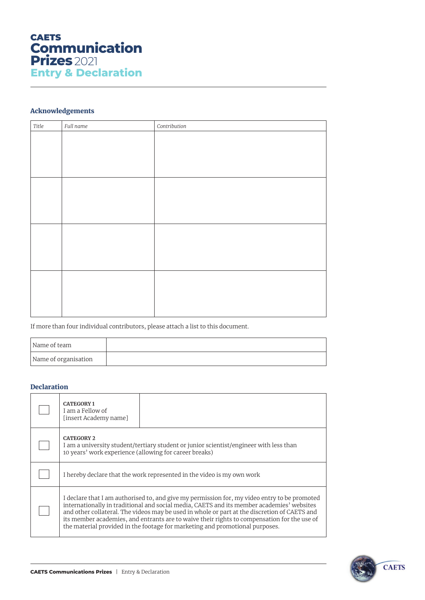

#### Acknowledgements

| Title | Full name | Contribution |
|-------|-----------|--------------|
|       |           |              |
|       |           |              |
|       |           |              |
|       |           |              |
|       |           |              |
|       |           |              |
|       |           |              |
|       |           |              |
|       |           |              |
|       |           |              |
|       |           |              |
|       |           |              |
|       |           |              |
|       |           |              |
|       |           |              |
|       |           |              |

If more than four individual contributors, please attach a list to this document.

| Name of team         |  |
|----------------------|--|
| Name of organisation |  |

#### Declaration

| <b>CATEGORY 1</b><br>I am a Fellow of<br>[insert Academy name]              |                                                                                                                                                                                                                                                                                                                                                                                                                                                                          |
|-----------------------------------------------------------------------------|--------------------------------------------------------------------------------------------------------------------------------------------------------------------------------------------------------------------------------------------------------------------------------------------------------------------------------------------------------------------------------------------------------------------------------------------------------------------------|
| <b>CATEGORY 2</b><br>10 years' work experience (allowing for career breaks) | I am a university student/tertiary student or junior scientist/engineer with less than                                                                                                                                                                                                                                                                                                                                                                                   |
|                                                                             | I hereby declare that the work represented in the video is my own work                                                                                                                                                                                                                                                                                                                                                                                                   |
|                                                                             | I declare that I am authorised to, and give my permission for, my video entry to be promoted<br>internationally in traditional and social media, CAETS and its member academies' websites<br>and other collateral. The videos may be used in whole or part at the discretion of CAETS and<br>its member academies, and entrants are to waive their rights to compensation for the use of<br>the material provided in the footage for marketing and promotional purposes. |

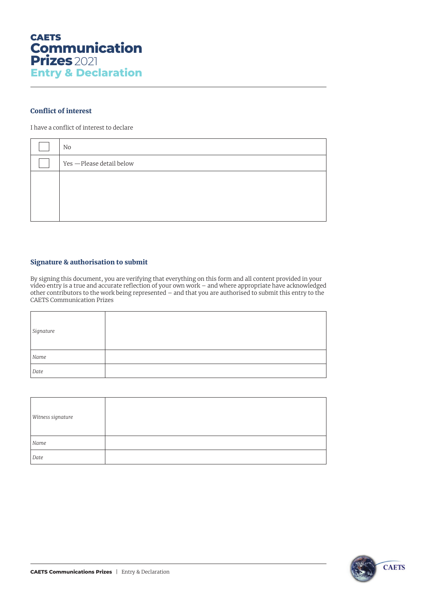#### Conflict of interest

I have a conflict of interest to declare

| No                        |
|---------------------------|
| Yes - Please detail below |
|                           |
|                           |
|                           |
|                           |

#### Signature & authorisation to submit

By signing this document, you are verifying that everything on this form and all content provided in your video entry is a true and accurate reflection of your own work – and where appropriate have acknowledged other contributors to the work being represented – and that you are authorised to submit this entry to the CAETS Communication Prizes

| Signature     |  |
|---------------|--|
| $\emph{Name}$ |  |
| Date          |  |

| Witness signature |  |
|-------------------|--|
|                   |  |
| Name              |  |
| Date              |  |

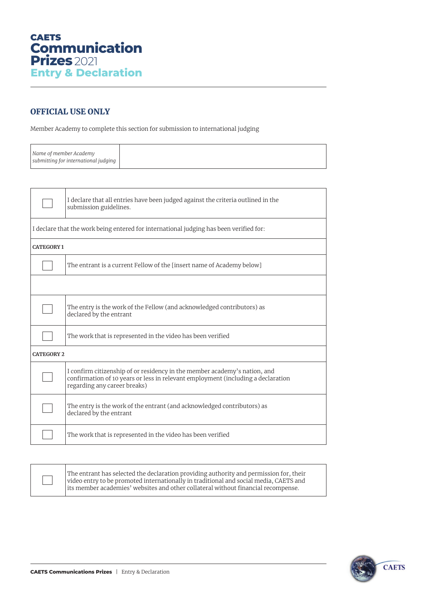### OFFICIAL USE ONLY

Member Academy to complete this section for submission to international judging

| Name of member Academy               |
|--------------------------------------|
| submitting for international judging |
|                                      |

|                                                                                        | I declare that all entries have been judged against the criteria outlined in the<br>submission guidelines.                                                                                    |  |  |
|----------------------------------------------------------------------------------------|-----------------------------------------------------------------------------------------------------------------------------------------------------------------------------------------------|--|--|
| I declare that the work being entered for international judging has been verified for: |                                                                                                                                                                                               |  |  |
| <b>CATEGORY 1</b>                                                                      |                                                                                                                                                                                               |  |  |
|                                                                                        | The entrant is a current Fellow of the [insert name of Academy below]                                                                                                                         |  |  |
|                                                                                        |                                                                                                                                                                                               |  |  |
|                                                                                        | The entry is the work of the Fellow (and acknowledged contributors) as<br>declared by the entrant                                                                                             |  |  |
|                                                                                        | The work that is represented in the video has been verified                                                                                                                                   |  |  |
| <b>CATEGORY 2</b>                                                                      |                                                                                                                                                                                               |  |  |
|                                                                                        | I confirm citizenship of or residency in the member academy's nation, and<br>confirmation of 10 years or less in relevant employment (including a declaration<br>regarding any career breaks) |  |  |
|                                                                                        | The entry is the work of the entrant (and acknowledged contributors) as<br>declared by the entrant                                                                                            |  |  |
|                                                                                        | The work that is represented in the video has been verified                                                                                                                                   |  |  |
|                                                                                        |                                                                                                                                                                                               |  |  |



The entrant has selected the declaration providing authority and permission for, their video entry to be promoted internationally in traditional and social media, CAETS and its member academies' websites and other collateral without financial recompense.